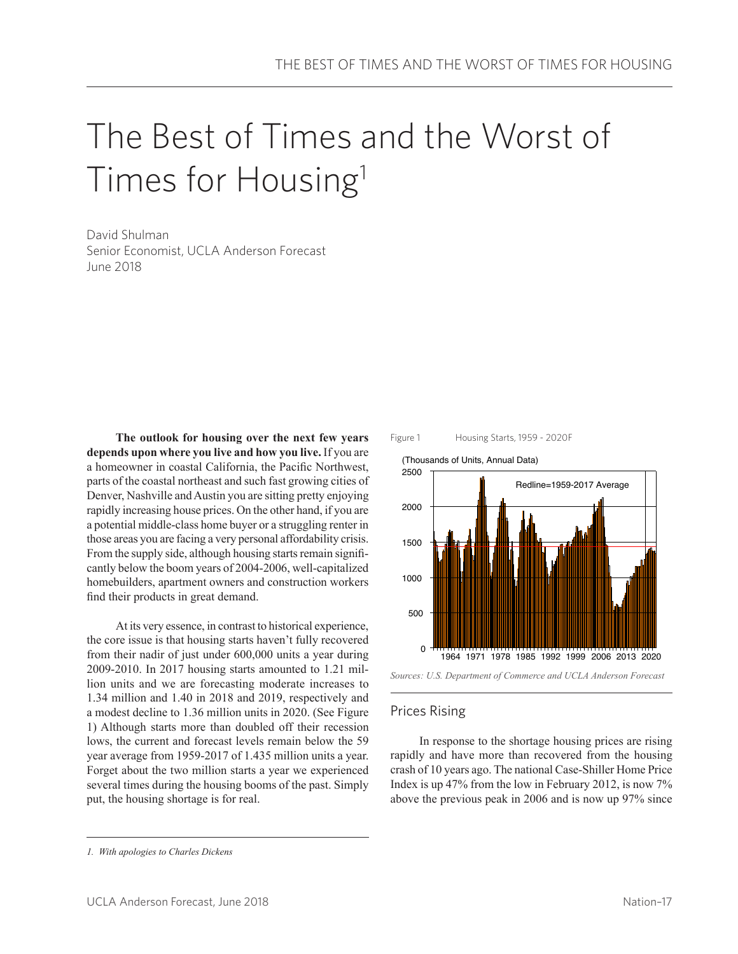# The Best of Times and the Worst of Times for Housing<sup>1</sup>

David Shulman Senior Economist, UCLA Anderson Forecast June 2018

**The outlook for housing over the next few years depends upon where you live and how you live.** If you are a homeowner in coastal California, the Pacific Northwest, parts of the coastal northeast and such fast growing cities of Denver, Nashville and Austin you are sitting pretty enjoying rapidly increasing house prices. On the other hand, if you are a potential middle-class home buyer or a struggling renter in those areas you are facing a very personal affordability crisis. From the supply side, although housing starts remain significantly below the boom years of 2004-2006, well-capitalized homebuilders, apartment owners and construction workers find their products in great demand.

At its very essence, in contrast to historical experience, the core issue is that housing starts haven't fully recovered from their nadir of just under 600,000 units a year during 2009-2010. In 2017 housing starts amounted to 1.21 million units and we are forecasting moderate increases to 1.34 million and 1.40 in 2018 and 2019, respectively and a modest decline to 1.36 million units in 2020. (See Figure 1) Although starts more than doubled off their recession lows, the current and forecast levels remain below the 59 year average from 1959-2017 of 1.435 million units a year. Forget about the two million starts a year we experienced several times during the housing booms of the past. Simply put, the housing shortage is for real.



1964 1971 1978 1985 1992 1999 2006 2013 2020 2500 2000 1500 1000 500 0 (Thousands of Units, Annual Data) Redline=1959-2017 Average



### Prices Rising

In response to the shortage housing prices are rising rapidly and have more than recovered from the housing crash of 10 years ago. The national Case-Shiller Home Price Index is up 47% from the low in February 2012, is now 7% above the previous peak in 2006 and is now up 97% since

*<sup>1.</sup> With apologies to Charles Dickens*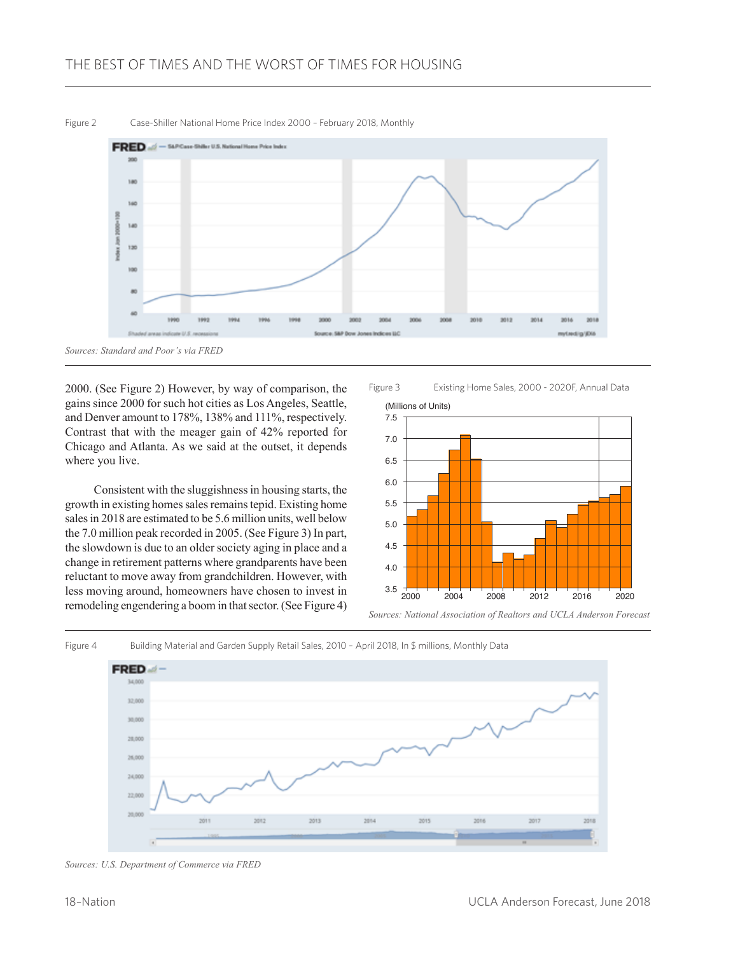

2000. (See Figure 2) However, by way of comparison, the gains since 2000 for such hot cities as Los Angeles, Seattle, and Denver amount to 178%, 138% and 111%, respectively. Contrast that with the meager gain of 42% reported for Chicago and Atlanta. As we said at the outset, it depends where you live.

Consistent with the sluggishness in housing starts, the growth in existing homes sales remains tepid. Existing home sales in 2018 are estimated to be 5.6 million units, well below the 7.0 million peak recorded in 2005. (See Figure 3) In part, the slowdown is due to an older society aging in place and a change in retirement patterns where grandparents have been reluctant to move away from grandchildren. However, with less moving around, homeowners have chosen to invest in remodeling engendering a boom in that sector. (See Figure 4)

Figure 3 Existing Home Sales, 2000 - 2020F, Annual Data



*Sources: National Association of Realtors and UCLA Anderson Forecast*



*Sources: U.S. Department of Commerce via FRED*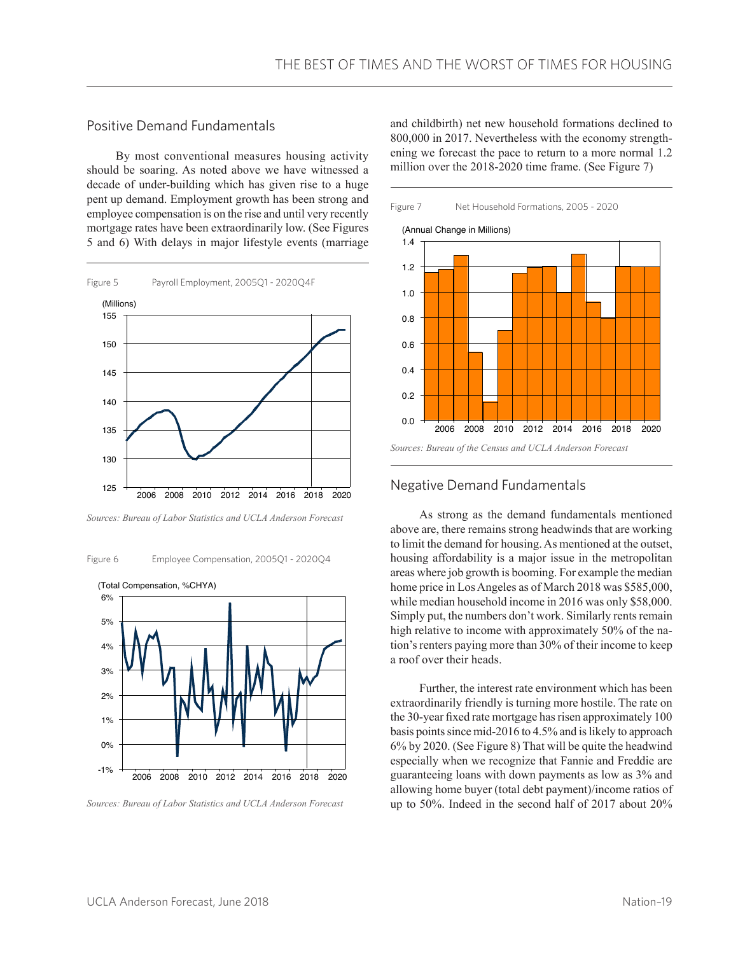## Positive Demand Fundamentals

By most conventional measures housing activity should be soaring. As noted above we have witnessed a decade of under-building which has given rise to a huge pent up demand. Employment growth has been strong and employee compensation is on the rise and until very recently mortgage rates have been extraordinarily low. (See Figures 5 and 6) With delays in major lifestyle events (marriage



*Sources: Bureau of Labor Statistics and UCLA Anderson Forecast*

Figure 6 Employee Compensation, 2005Q1 - 2020Q4



*Sources: Bureau of Labor Statistics and UCLA Anderson Forecast*

and childbirth) net new household formations declined to 800,000 in 2017. Nevertheless with the economy strengthening we forecast the pace to return to a more normal 1.2 million over the 2018-2020 time frame. (See Figure 7)



#### Negative Demand Fundamentals

As strong as the demand fundamentals mentioned above are, there remains strong headwinds that are working to limit the demand for housing. As mentioned at the outset, housing affordability is a major issue in the metropolitan areas where job growth is booming. For example the median home price in Los Angeles as of March 2018 was \$585,000, while median household income in 2016 was only \$58,000. Simply put, the numbers don't work. Similarly rents remain high relative to income with approximately 50% of the nation's renters paying more than 30% of their income to keep a roof over their heads.

Further, the interest rate environment which has been extraordinarily friendly is turning more hostile. The rate on the 30-year fixed rate mortgage has risen approximately 100 basis points since mid-2016 to 4.5% and is likely to approach 6% by 2020. (See Figure 8) That will be quite the headwind especially when we recognize that Fannie and Freddie are guaranteeing loans with down payments as low as 3% and allowing home buyer (total debt payment)/income ratios of up to 50%. Indeed in the second half of 2017 about 20%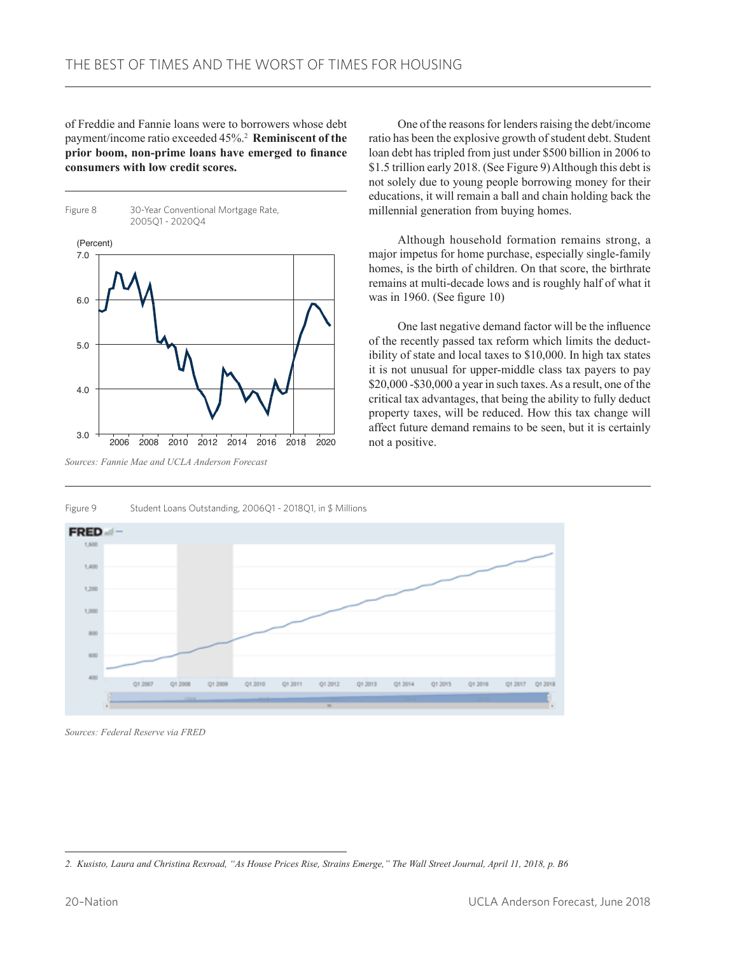of Freddie and Fannie loans were to borrowers whose debt payment/income ratio exceeded 45%.2 **Reminiscent of the prior boom, non-prime loans have emerged to finance consumers with low credit scores.**



Figure 9 Student Loans Outstanding, 2006Q1 - 2018Q1, in \$ Millions

One of the reasons for lenders raising the debt/income ratio has been the explosive growth of student debt. Student loan debt has tripled from just under \$500 billion in 2006 to \$1.5 trillion early 2018. (See Figure 9) Although this debt is not solely due to young people borrowing money for their educations, it will remain a ball and chain holding back the millennial generation from buying homes.

Although household formation remains strong, a major impetus for home purchase, especially single-family homes, is the birth of children. On that score, the birthrate remains at multi-decade lows and is roughly half of what it was in 1960. (See figure 10)

One last negative demand factor will be the influence of the recently passed tax reform which limits the deductibility of state and local taxes to \$10,000. In high tax states it is not unusual for upper-middle class tax payers to pay \$20,000 -\$30,000 a year in such taxes. As a result, one of the critical tax advantages, that being the ability to fully deduct property taxes, will be reduced. How this tax change will affect future demand remains to be seen, but it is certainly not a positive.

**FRED** adi -1,600 1,400 1,200 1,000  $800$ 600  $Q1,200$  $Q1,200$ Q1 2009 Q1 2010 Q1 2011 Q1 2012 Q1 2013 Q1 2014 Q1 2015 012016 Q1 2017 Q1 2018

*Sources: Federal Reserve via FRED*

*<sup>2.</sup> Kusisto, Laura and Christina Rexroad, "As House Prices Rise, Strains Emerge," The Wall Street Journal, April 11, 2018, p. B6*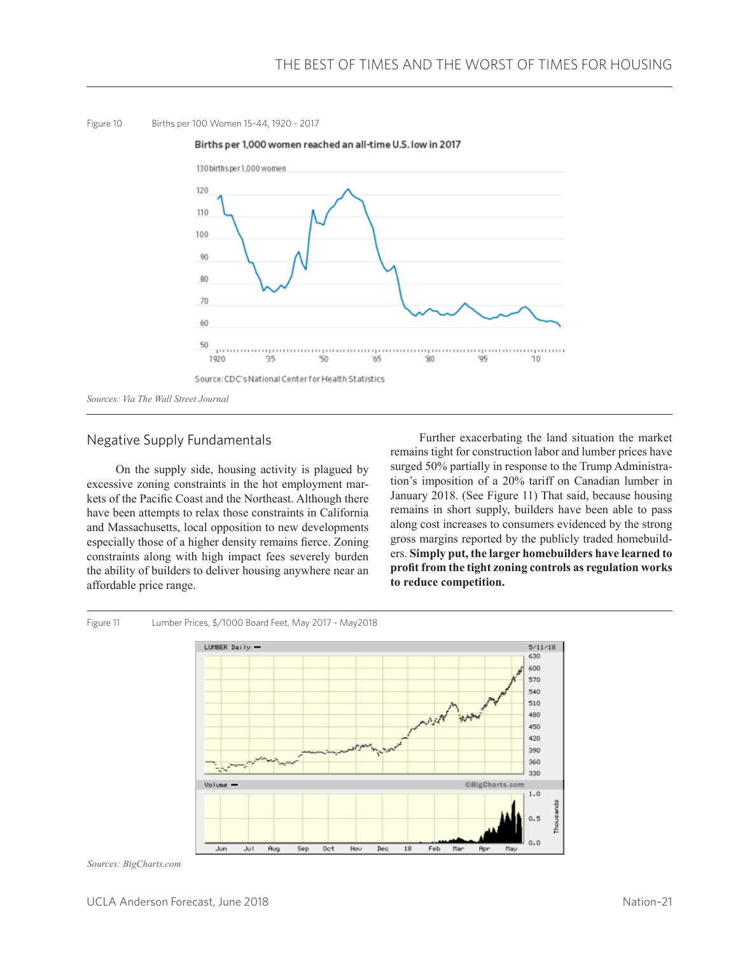



## Negative Supply Fundamentals

On the supply side, housing activity is plagued by excessive zoning constraints in the hot employment markets of the Pacific Coast and the Northeast. Although there have been attempts to relax those constraints in California and Massachusetts, local opposition to new developments especially those of a higher density remains fierce. Zoning constraints along with high impact fees severely burden the ability of builders to deliver housing anywhere near an affordable price range.

Further exacerbating the land situation the market remains tight for construction labor and lumber prices have surged 50% partially in response to the Trump Administration's imposition of a 20% tariff on Canadian lumber in January 2018. (See Figure 11) That said, because housing remains in short supply, builders have been able to pass along cost increases to consumers evidenced by the strong gross margins reported by the publicly traded homebuilders. **Simply put, the larger homebuilders have learned to profit from the tight zoning controls as regulation works to reduce competition.**



*Sources: BigCharts.com*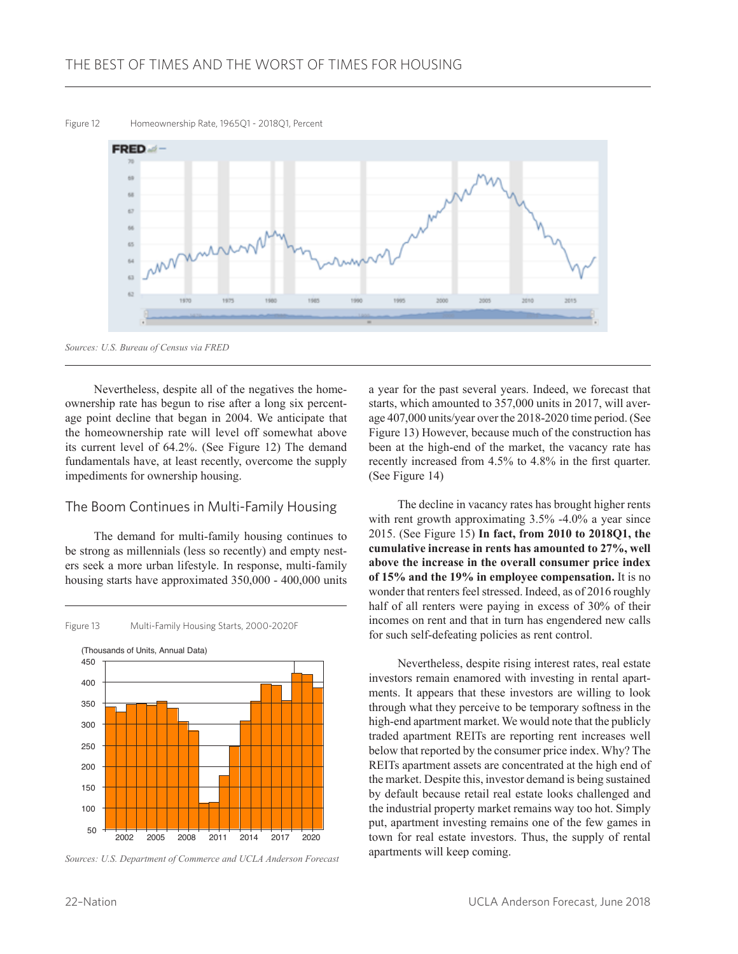Figure 12 Homeownership Rate, 1965Q1 - 2018Q1, Percent



*Sources: U.S. Bureau of Census via FRED*

Nevertheless, despite all of the negatives the homeownership rate has begun to rise after a long six percentage point decline that began in 2004. We anticipate that the homeownership rate will level off somewhat above its current level of 64.2%. (See Figure 12) The demand fundamentals have, at least recently, overcome the supply impediments for ownership housing.

#### The Boom Continues in Multi-Family Housing

The demand for multi-family housing continues to be strong as millennials (less so recently) and empty nesters seek a more urban lifestyle. In response, multi-family housing starts have approximated 350,000 - 400,000 units



*Sources: U.S. Department of Commerce and UCLA Anderson Forecast*

a year for the past several years. Indeed, we forecast that starts, which amounted to 357,000 units in 2017, will average 407,000 units/year over the 2018-2020 time period. (See Figure 13) However, because much of the construction has been at the high-end of the market, the vacancy rate has recently increased from 4.5% to 4.8% in the first quarter. (See Figure 14)

The decline in vacancy rates has brought higher rents with rent growth approximating 3.5% -4.0% a year since 2015. (See Figure 15) **In fact, from 2010 to 2018Q1, the cumulative increase in rents has amounted to 27%, well above the increase in the overall consumer price index of 15% and the 19% in employee compensation.** It is no wonder that renters feel stressed. Indeed, as of 2016 roughly half of all renters were paying in excess of 30% of their incomes on rent and that in turn has engendered new calls for such self-defeating policies as rent control.

Nevertheless, despite rising interest rates, real estate investors remain enamored with investing in rental apartments. It appears that these investors are willing to look through what they perceive to be temporary softness in the high-end apartment market. We would note that the publicly traded apartment REITs are reporting rent increases well below that reported by the consumer price index. Why? The REITs apartment assets are concentrated at the high end of the market. Despite this, investor demand is being sustained by default because retail real estate looks challenged and the industrial property market remains way too hot. Simply put, apartment investing remains one of the few games in town for real estate investors. Thus, the supply of rental apartments will keep coming.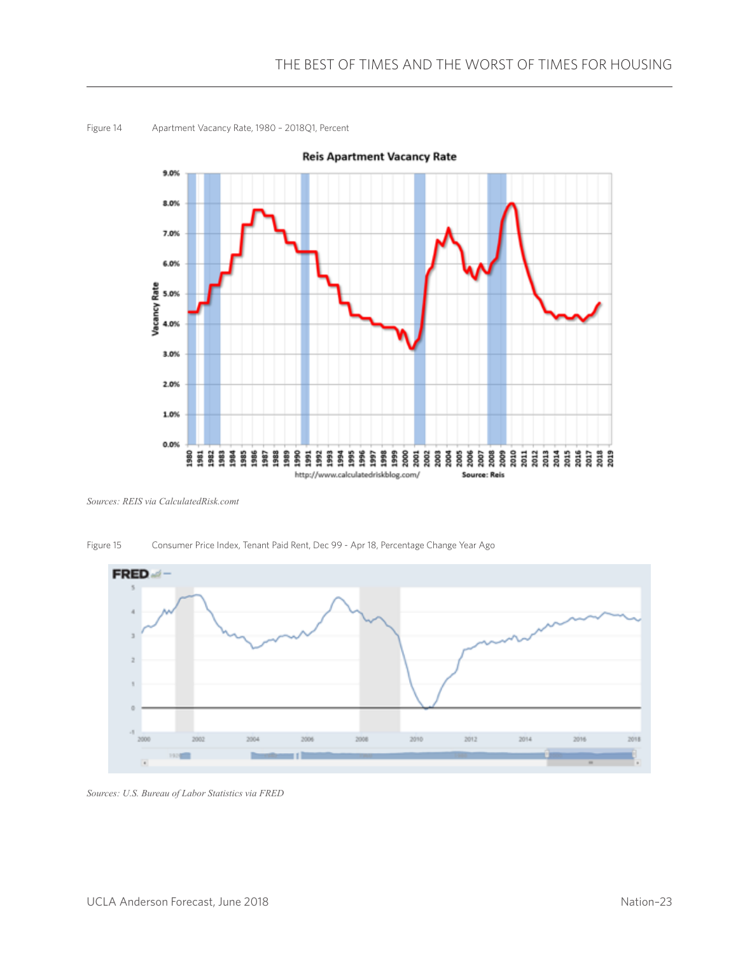

Figure 14 Apartment Vacancy Rate, 1980 – 2018Q1, Percent

*Sources: REIS via CalculatedRisk.comt*





*Sources: U.S. Bureau of Labor Statistics via FRED*